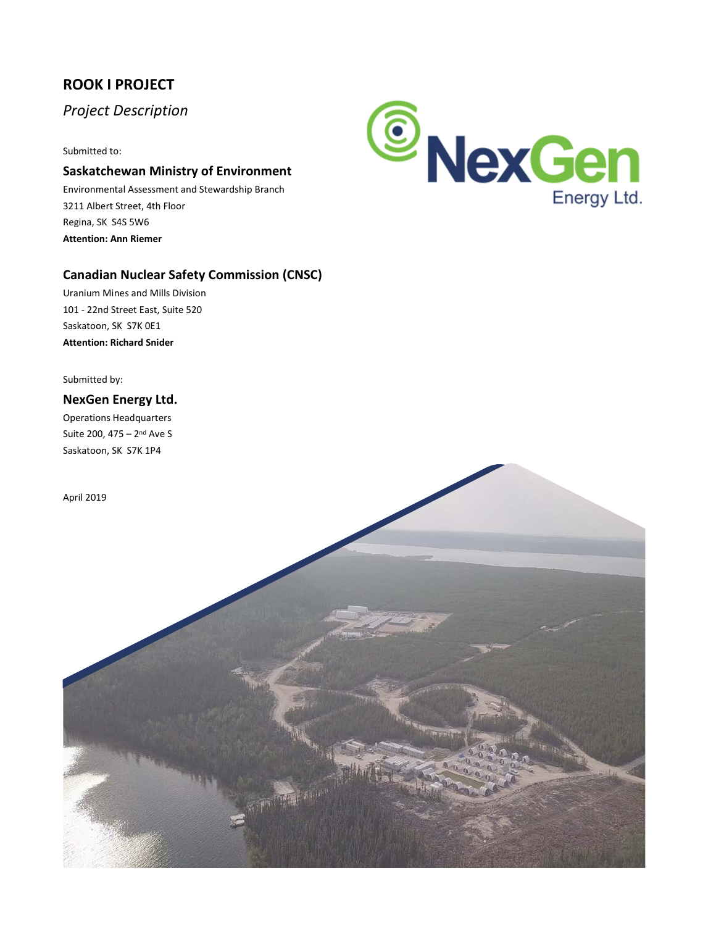# **ROOK I PROJECT**

*Project Description*

Submitted to:

# **Saskatchewan Ministry of Environment**

Environmental Assessment and Stewardship Branch 3211 Albert Street, 4th Floor Regina, SK S4S 5W6 **Attention: Ann Riemer**



# **Canadian Nuclear Safety Commission (CNSC)**

Uranium Mines and Mills Division 101 - 22nd Street East, Suite 520 Saskatoon, SK S7K 0E1 **Attention: Richard Snider** 

### Submitted by:

### **NexGen Energy Ltd.**

Operations Headquarters Suite 200, 475 – 2nd Ave S Saskatoon, SK S7K 1P4

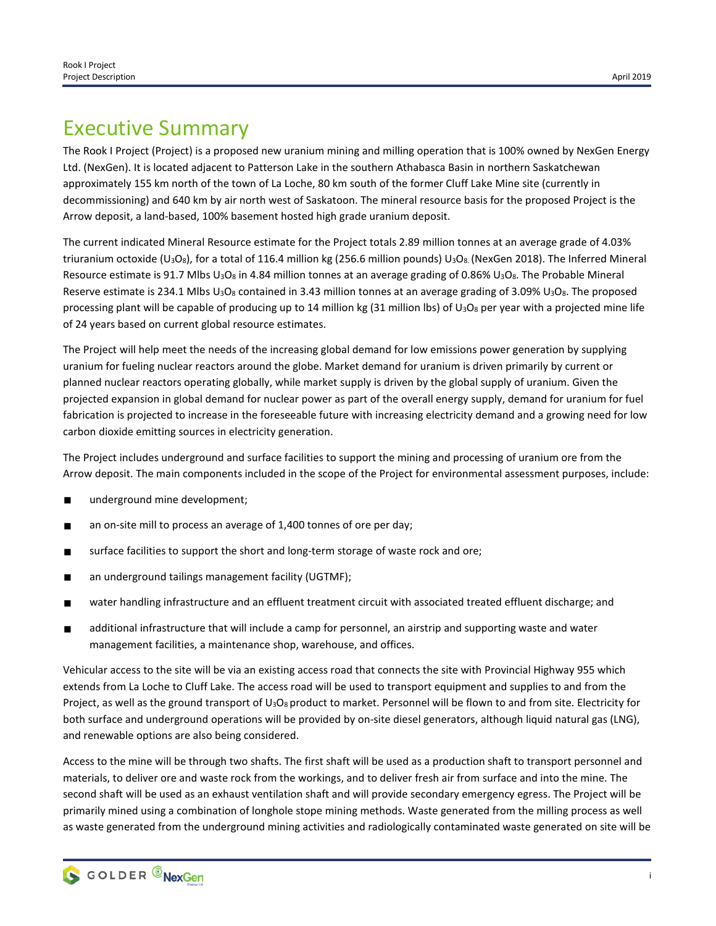# Executive Summary

The Rook I Project (Project) is a proposed new uranium mining and milling operation that is 100% owned by NexGen Energy Ltd. (NexGen). It is located adjacent to Patterson Lake in the southern Athabasca Basin in northern Saskatchewan approximately 155 km north of the town of La Loche, 80 km south of the former Cluff Lake Mine site (currently in decommissioning) and 640 km by air north west of Saskatoon. The mineral resource basis for the proposed Project is the Arrow deposit, a land-based, 100% basement hosted high grade uranium deposit.

The current indicated Mineral Resource estimate for the Project totals 2.89 million tonnes at an average grade of 4.03% triuranium octoxide (U<sub>3</sub>O<sub>8</sub>), for a total of 116.4 million kg (256.6 million pounds) U<sub>3</sub>O<sub>8</sub> (NexGen 2018). The Inferred Mineral Resource estimate is 91.7 Mlbs U<sub>3</sub>O<sub>8</sub> in 4.84 million tonnes at an average grading of 0.86% U<sub>3</sub>O<sub>8</sub>. The Probable Mineral Reserve estimate is 234.1 Mlbs  $U_3O_8$  contained in 3.43 million tonnes at an average grading of 3.09%  $U_3O_8$ . The proposed processing plant will be capable of producing up to 14 million kg (31 million lbs) of U<sub>3</sub>O<sub>8</sub> per year with a projected mine life of 24 years based on current global resource estimates.

The Project will help meet the needs of the increasing global demand for low emissions power generation by supplying uranium for fueling nuclear reactors around the globe. Market demand for uranium is driven primarily by current or planned nuclear reactors operating globally, while market supply is driven by the global supply of uranium. Given the projected expansion in global demand for nuclear power as part of the overall energy supply, demand for uranium for fuel fabrication is projected to increase in the foreseeable future with increasing electricity demand and a growing need for low carbon dioxide emitting sources in electricity generation.

The Project includes underground and surface facilities to support the mining and processing of uranium ore from the Arrow deposit. The main components included in the scope of the Project for environmental assessment purposes, include:

- underground mine development;
- an on-site mill to process an average of 1,400 tonnes of ore per day;
- surface facilities to support the short and long-term storage of waste rock and ore;
- an underground tailings management facility (UGTMF);
- water handling infrastructure and an effluent treatment circuit with associated treated effluent discharge; and
- additional infrastructure that will include a camp for personnel, an airstrip and supporting waste and water management facilities, a maintenance shop, warehouse, and offices.

Vehicular access to the site will be via an existing access road that connects the site with Provincial Highway 955 which extends from La Loche to Cluff Lake. The access road will be used to transport equipment and supplies to and from the Project, as well as the ground transport of  $U_3O_8$  product to market. Personnel will be flown to and from site. Electricity for both surface and underground operations will be provided by on-site diesel generators, although liquid natural gas (LNG), and renewable options are also being considered.

Access to the mine will be through two shafts. The first shaft will be used as a production shaft to transport personnel and materials, to deliver ore and waste rock from the workings, and to deliver fresh air from surface and into the mine. The second shaft will be used as an exhaust ventilation shaft and will provide secondary emergency egress. The Project will be primarily mined using a combination of longhole stope mining methods. Waste generated from the milling process as well as waste generated from the underground mining activities and radiologically contaminated waste generated on site will be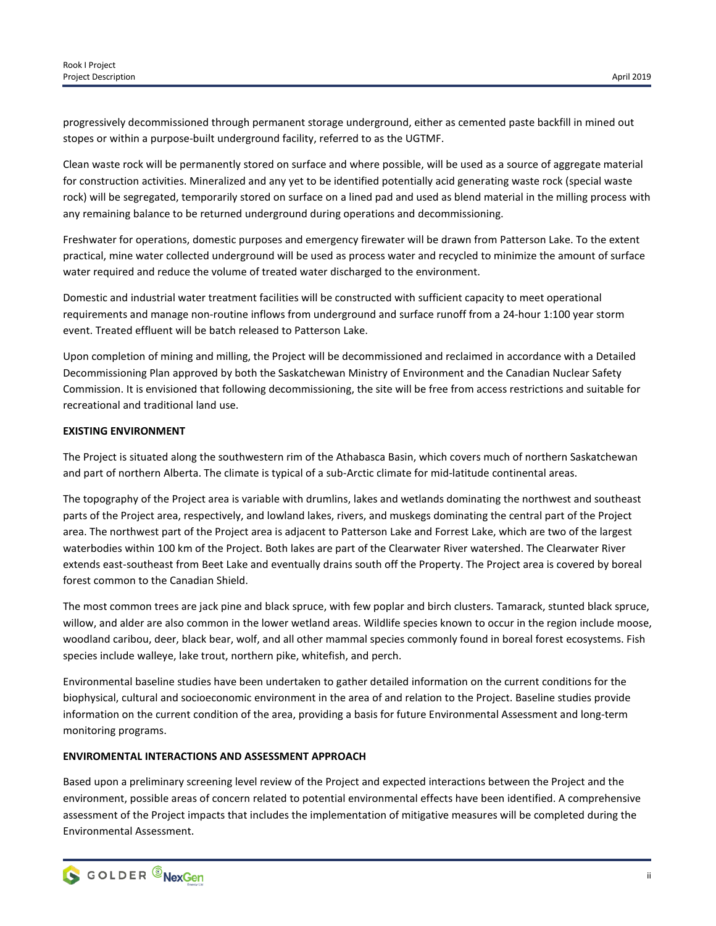progressively decommissioned through permanent storage underground, either as cemented paste backfill in mined out stopes or within a purpose-built underground facility, referred to as the UGTMF.

Clean waste rock will be permanently stored on surface and where possible, will be used as a source of aggregate material for construction activities. Mineralized and any yet to be identified potentially acid generating waste rock (special waste rock) will be segregated, temporarily stored on surface on a lined pad and used as blend material in the milling process with any remaining balance to be returned underground during operations and decommissioning.

Freshwater for operations, domestic purposes and emergency firewater will be drawn from Patterson Lake. To the extent practical, mine water collected underground will be used as process water and recycled to minimize the amount of surface water required and reduce the volume of treated water discharged to the environment.

Domestic and industrial water treatment facilities will be constructed with sufficient capacity to meet operational requirements and manage non-routine inflows from underground and surface runoff from a 24-hour 1:100 year storm event. Treated effluent will be batch released to Patterson Lake.

Upon completion of mining and milling, the Project will be decommissioned and reclaimed in accordance with a Detailed Decommissioning Plan approved by both the Saskatchewan Ministry of Environment and the Canadian Nuclear Safety Commission. It is envisioned that following decommissioning, the site will be free from access restrictions and suitable for recreational and traditional land use.

### **EXISTING ENVIRONMENT**

The Project is situated along the southwestern rim of the Athabasca Basin, which covers much of northern Saskatchewan and part of northern Alberta. The climate is typical of a sub-Arctic climate for mid-latitude continental areas.

The topography of the Project area is variable with drumlins, lakes and wetlands dominating the northwest and southeast parts of the Project area, respectively, and lowland lakes, rivers, and muskegs dominating the central part of the Project area. The northwest part of the Project area is adjacent to Patterson Lake and Forrest Lake, which are two of the largest waterbodies within 100 km of the Project. Both lakes are part of the Clearwater River watershed. The Clearwater River extends east-southeast from Beet Lake and eventually drains south off the Property. The Project area is covered by boreal forest common to the Canadian Shield.

The most common trees are jack pine and black spruce, with few poplar and birch clusters. Tamarack, stunted black spruce, willow, and alder are also common in the lower wetland areas. Wildlife species known to occur in the region include moose, woodland caribou, deer, black bear, wolf, and all other mammal species commonly found in boreal forest ecosystems. Fish species include walleye, lake trout, northern pike, whitefish, and perch.

Environmental baseline studies have been undertaken to gather detailed information on the current conditions for the biophysical, cultural and socioeconomic environment in the area of and relation to the Project. Baseline studies provide information on the current condition of the area, providing a basis for future Environmental Assessment and long-term monitoring programs.

### **ENVIROMENTAL INTERACTIONS AND ASSESSMENT APPROACH**

Based upon a preliminary screening level review of the Project and expected interactions between the Project and the environment, possible areas of concern related to potential environmental effects have been identified. A comprehensive assessment of the Project impacts that includes the implementation of mitigative measures will be completed during the Environmental Assessment.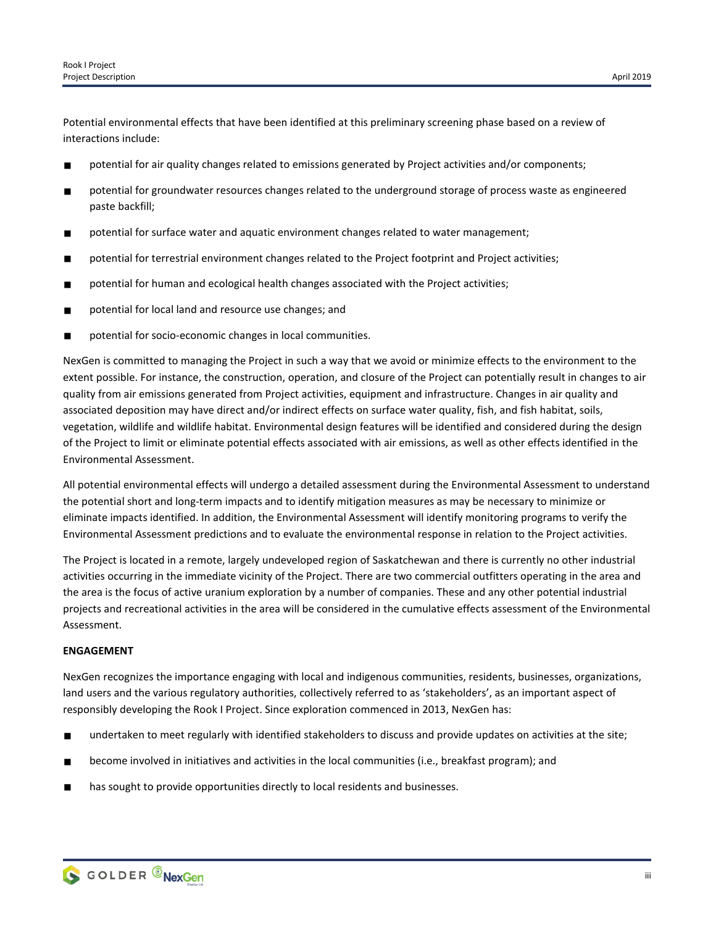Potential environmental effects that have been identified at this preliminary screening phase based on a review of interactions include:

- potential for air quality changes related to emissions generated by Project activities and/or components;
- potential for groundwater resources changes related to the underground storage of process waste as engineered paste backfill;
- potential for surface water and aquatic environment changes related to water management;
- potential for terrestrial environment changes related to the Project footprint and Project activities;
- potential for human and ecological health changes associated with the Project activities;
- potential for local land and resource use changes; and
- potential for socio-economic changes in local communities.

NexGen is committed to managing the Project in such a way that we avoid or minimize effects to the environment to the extent possible. For instance, the construction, operation, and closure of the Project can potentially result in changes to air quality from air emissions generated from Project activities, equipment and infrastructure. Changes in air quality and associated deposition may have direct and/or indirect effects on surface water quality, fish, and fish habitat, soils, vegetation, wildlife and wildlife habitat. Environmental design features will be identified and considered during the design of the Project to limit or eliminate potential effects associated with air emissions, as well as other effects identified in the Environmental Assessment.

All potential environmental effects will undergo a detailed assessment during the Environmental Assessment to understand the potential short and long-term impacts and to identify mitigation measures as may be necessary to minimize or eliminate impacts identified. In addition, the Environmental Assessment will identify monitoring programs to verify the Environmental Assessment predictions and to evaluate the environmental response in relation to the Project activities.

The Project is located in a remote, largely undeveloped region of Saskatchewan and there is currently no other industrial activities occurring in the immediate vicinity of the Project. There are two commercial outfitters operating in the area and the area is the focus of active uranium exploration by a number of companies. These and any other potential industrial projects and recreational activities in the area will be considered in the cumulative effects assessment of the Environmental Assessment.

#### **ENGAGEMENT**

NexGen recognizes the importance engaging with local and indigenous communities, residents, businesses, organizations, land users and the various regulatory authorities, collectively referred to as 'stakeholders', as an important aspect of responsibly developing the Rook I Project. Since exploration commenced in 2013, NexGen has:

- undertaken to meet regularly with identified stakeholders to discuss and provide updates on activities at the site;
- become involved in initiatives and activities in the local communities (i.e., breakfast program); and
- has sought to provide opportunities directly to local residents and businesses.